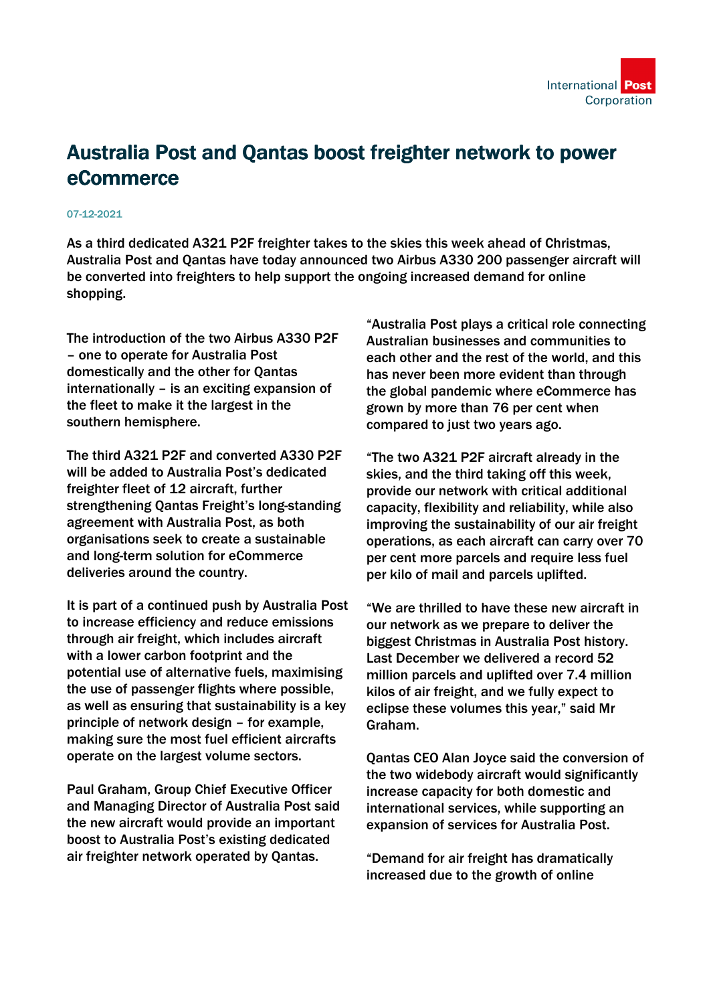

## Australia Post and Qantas boost freighter network to power eCommerce

## 07-12-2021

As a third dedicated A321 P2F freighter takes to the skies this week ahead of Christmas, Australia Post and Qantas have today announced two Airbus A330 200 passenger aircraft will be converted into freighters to help support the ongoing increased demand for online shopping.

The introduction of the two Airbus A330 P2F – one to operate for Australia Post domestically and the other for Qantas internationally – is an exciting expansion of the fleet to make it the largest in the southern hemisphere.

The third A321 P2F and converted A330 P2F will be added to Australia Post's dedicated freighter fleet of 12 aircraft, further strengthening Qantas Freight's long-standing agreement with Australia Post, as both organisations seek to create a sustainable and long-term solution for eCommerce deliveries around the country.

It is part of a continued push by Australia Post to increase efficiency and reduce emissions through air freight, which includes aircraft with a lower carbon footprint and the potential use of alternative fuels, maximising the use of passenger flights where possible, as well as ensuring that sustainability is a key principle of network design – for example, making sure the most fuel efficient aircrafts operate on the largest volume sectors.

Paul Graham, Group Chief Executive Officer and Managing Director of Australia Post said the new aircraft would provide an important boost to Australia Post's existing dedicated air freighter network operated by Qantas.

"Australia Post plays a critical role connecting Australian businesses and communities to each other and the rest of the world, and this has never been more evident than through the global pandemic where eCommerce has grown by more than 76 per cent when compared to just two years ago.

"The two A321 P2F aircraft already in the skies, and the third taking off this week, provide our network with critical additional capacity, flexibility and reliability, while also improving the sustainability of our air freight operations, as each aircraft can carry over 70 per cent more parcels and require less fuel per kilo of mail and parcels uplifted.

"We are thrilled to have these new aircraft in our network as we prepare to deliver the biggest Christmas in Australia Post history. Last December we delivered a record 52 million parcels and uplifted over 7.4 million kilos of air freight, and we fully expect to eclipse these volumes this year," said Mr Graham.

Qantas CEO Alan Joyce said the conversion of the two widebody aircraft would significantly increase capacity for both domestic and international services, while supporting an expansion of services for Australia Post.

"Demand for air freight has dramatically increased due to the growth of online